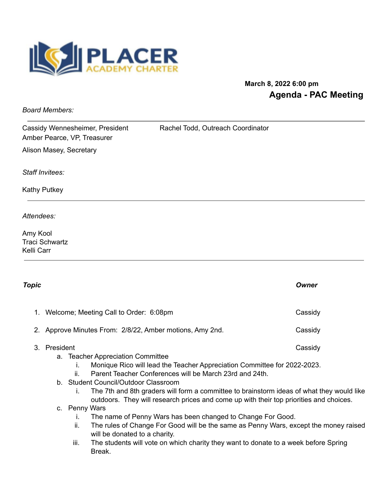

# **March 8, 2022 6:00 pm Agenda - PAC Meeting**

*Board Members:*

Cassidy Wennesheimer, President Rachel Todd, Outreach Coordinator Amber Pearce, VP, Treasurer

Alison Masey, Secretary

*Staff Invitees:*

Kathy Putkey

*Attendees:*

Amy Kool Traci Schwartz Kelli Carr

| Topic |                                                          |                                                                                                                                                                                                                                                                                                                                                                                                                                                                                                                                                                                                                                                                       |                                                                                               | Owner   |
|-------|----------------------------------------------------------|-----------------------------------------------------------------------------------------------------------------------------------------------------------------------------------------------------------------------------------------------------------------------------------------------------------------------------------------------------------------------------------------------------------------------------------------------------------------------------------------------------------------------------------------------------------------------------------------------------------------------------------------------------------------------|-----------------------------------------------------------------------------------------------|---------|
|       | 1. Welcome; Meeting Call to Order: 6:08pm                |                                                                                                                                                                                                                                                                                                                                                                                                                                                                                                                                                                                                                                                                       |                                                                                               | Cassidy |
|       | 2. Approve Minutes From: 2/8/22, Amber motions, Amy 2nd. |                                                                                                                                                                                                                                                                                                                                                                                                                                                                                                                                                                                                                                                                       |                                                                                               | Cassidy |
| 3.    | President                                                | Cassidy<br>a. Teacher Appreciation Committee<br>Monique Rico will lead the Teacher Appreciation Committee for 2022-2023.<br>Ť.<br>Parent Teacher Conferences will be March 23rd and 24th.<br>ii.<br>b. Student Council/Outdoor Classroom<br>The 7th and 8th graders will form a committee to brainstorm ideas of what they would like<br>Τ.<br>outdoors. They will research prices and come up with their top priorities and choices.<br>c. Penny Wars<br>The name of Penny Wars has been changed to Change For Good.<br>$\mathbf{L}$<br>ii.<br>The rules of Change For Good will be the same as Penny Wars, except the money raised<br>will be donated to a charity. |                                                                                               |         |
|       |                                                          | iii.                                                                                                                                                                                                                                                                                                                                                                                                                                                                                                                                                                                                                                                                  | The students will vote on which charity they want to donate to a week before Spring<br>Break. |         |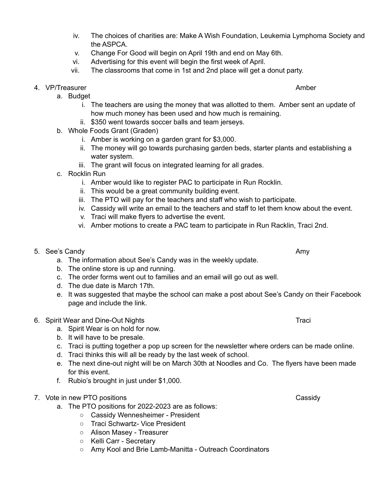- iv. The choices of charities are: Make A Wish Foundation, Leukemia Lymphoma Society and the ASPCA.
- v. Change For Good will begin on April 19th and end on May 6th.
- vi. Advertising for this event will begin the first week of April.
- vii. The classrooms that come in 1st and 2nd place will get a donut party.

### 4. VP/Treasurer Amber Amber Amber Amber Amber Amber Amber Amber Amber Amber Amber Amber Amber Amber Amber Amber

- a. Budget
	- i. The teachers are using the money that was allotted to them. Amber sent an update of how much money has been used and how much is remaining.
	- ii. \$350 went towards soccer balls and team jerseys.
- b. Whole Foods Grant (Graden)
	- i. Amber is working on a garden grant for \$3,000.
	- ii. The money will go towards purchasing garden beds, starter plants and establishing a water system.
	- iii. The grant will focus on integrated learning for all grades.
- c. Rocklin Run
	- i. Amber would like to register PAC to participate in Run Rocklin.
	- ii. This would be a great community building event.
	- iii. The PTO will pay for the teachers and staff who wish to participate.
	- iv. Cassidy will write an email to the teachers and staff to let them know about the event.
	- v. Traci will make flyers to advertise the event.
	- vi. Amber motions to create a PAC team to participate in Run Racklin, Traci 2nd.
- 5. See's Candy **Amy Amy Amy Amy Amy Amy Amy Amy Amy Amy Amy Amy Amy Amy Amy Amy Amy Amy Amy Amy Amy Amy Amy Amy Amy Amy Amy Amy Amy Amy Amy Amy Amy Amy Am** 
	- a. The information about See's Candy was in the weekly update.
	- b. The online store is up and running.
	- c. The order forms went out to families and an email will go out as well.
	- d. The due date is March 17th.
	- e. It was suggested that maybe the school can make a post about See's Candy on their Facebook page and include the link.

### 6. Spirit Wear and Dine-Out Nights Tracial Communication of the Tracial Communication of the Tracial Communication of the Tracial Communication of the Tracial Communication of the Tracial Communication of the Tracial Commu

- a. Spirit Wear is on hold for now.
- b. It will have to be presale.
- c. Traci is putting together a pop up screen for the newsletter where orders can be made online.
- d. Traci thinks this will all be ready by the last week of school.
- e. The next dine-out night will be on March 30th at Noodles and Co. The flyers have been made for this event.
- f. Rubio's brought in just under \$1,000.

## 7. Vote in new PTO positions Cassidy

- a. The PTO positions for 2022-2023 are as follows:
	- Cassidy Wennesheimer President
	- Traci Schwartz- Vice President
	- Alison Masey Treasurer
	- Kelli Carr Secretary
	- Amy Kool and Brie Lamb-Manitta Outreach Coordinators